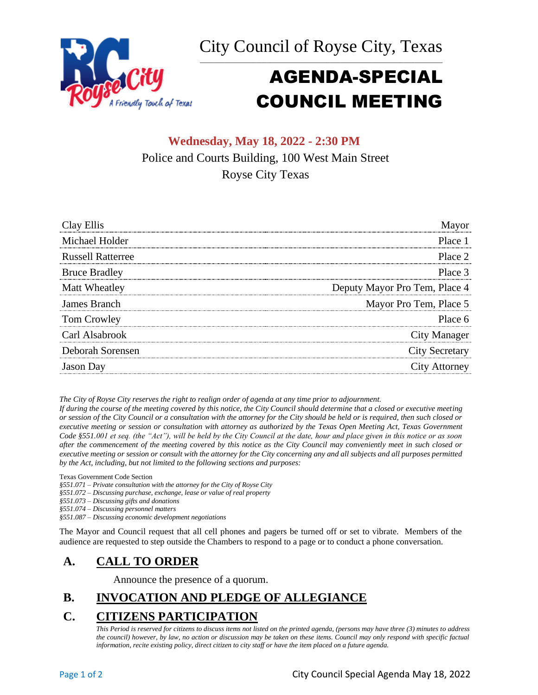City Council of Royse City, Texas \_\_\_\_\_\_\_\_\_\_\_\_\_\_\_\_\_\_\_\_\_\_\_\_\_\_\_\_\_\_\_\_\_\_\_\_\_\_\_\_\_\_\_\_\_\_\_\_\_\_\_\_\_\_\_\_\_\_\_\_\_\_\_\_\_\_\_\_\_



# AGENDA-SPECIAL COUNCIL MEETING

# **Wednesday, May 18, 2022 - 2:30 PM** Police and Courts Building, 100 West Main Street Royse City Texas

| Clay Ellis               | Mavor                         |
|--------------------------|-------------------------------|
| Michael Holder           | Place 1                       |
| <b>Russell Ratterree</b> | Place 2                       |
| <b>Bruce Bradley</b>     | Place 3                       |
| Matt Wheatley            | Deputy Mayor Pro Tem, Place 4 |
| James Branch             | Mayor Pro Tem, Place 5        |
| Tom Crowley              | Place 6                       |
| Carl Alsabrook           | City Manager                  |
| Deborah Sorensen         | <b>City Secretary</b>         |
| <b>Jason</b> Day         | City Attorney                 |

*The City of Royse City reserves the right to realign order of agenda at any time prior to adjournment.*

*If during the course of the meeting covered by this notice, the City Council should determine that a closed or executive meeting or session of the City Council or a consultation with the attorney for the City should be held or is required, then such closed or executive meeting or session or consultation with attorney as authorized by the Texas Open Meeting Act, Texas Government Code §551.001 et seq. (the "Act"), will be held by the City Council at the date, hour and place given in this notice or as soon after the commencement of the meeting covered by this notice as the City Council may conveniently meet in such closed or executive meeting or session or consult with the attorney for the City concerning any and all subjects and all purposes permitted by the Act, including, but not limited to the following sections and purposes:*

Texas Government Code Section

*§551.071 – Private consultation with the attorney for the City of Royse City* 

*§551.072 – Discussing purchase, exchange, lease or value of real property* 

*§551.073 – Discussing gifts and donations*

*§551.074 – Discussing personnel matters*

*§551.087 – Discussing economic development negotiations*

The Mayor and Council request that all cell phones and pagers be turned off or set to vibrate. Members of the audience are requested to step outside the Chambers to respond to a page or to conduct a phone conversation.

# **A. CALL TO ORDER**

Announce the presence of a quorum.

# **B. INVOCATION AND PLEDGE OF ALLEGIANCE**

# **C. CITIZENS PARTICIPATION**

*This Period is reserved for citizens to discuss items not listed on the printed agenda, (persons may have three (3) minutes to address the council) however, by law, no action or discussion may be taken on these items. Council may only respond with specific factual information, recite existing policy, direct citizen to city staff or have the item placed on a future agenda.*